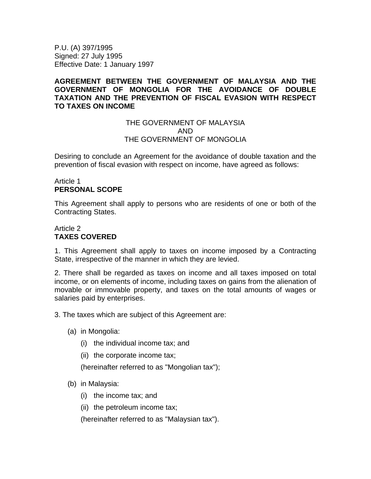P.U. (A) 397/1995 Signed: 27 July 1995 Effective Date: 1 January 1997

## **AGREEMENT BETWEEN THE GOVERNMENT OF MALAYSIA AND THE GOVERNMENT OF MONGOLIA FOR THE AVOIDANCE OF DOUBLE TAXATION AND THE PREVENTION OF FISCAL EVASION WITH RESPECT TO TAXES ON INCOME**

#### THE GOVERNMENT OF MALAYSIA AND THE GOVERNMENT OF MONGOLIA

Desiring to conclude an Agreement for the avoidance of double taxation and the prevention of fiscal evasion with respect on income, have agreed as follows:

#### Article 1 **PERSONAL SCOPE**

This Agreement shall apply to persons who are residents of one or both of the Contracting States.

## Article 2 **TAXES COVERED**

1. This Agreement shall apply to taxes on income imposed by a Contracting State, irrespective of the manner in which they are levied.

2. There shall be regarded as taxes on income and all taxes imposed on total income, or on elements of income, including taxes on gains from the alienation of movable or immovable property, and taxes on the total amounts of wages or salaries paid by enterprises.

3. The taxes which are subject of this Agreement are:

- (a) in Mongolia:
	- (i) the individual income tax; and
	- (ii) the corporate income tax;

(hereinafter referred to as "Mongolian tax");

- (b) in Malaysia:
	- (i) the income tax; and
	- (ii) the petroleum income tax;

(hereinafter referred to as "Malaysian tax").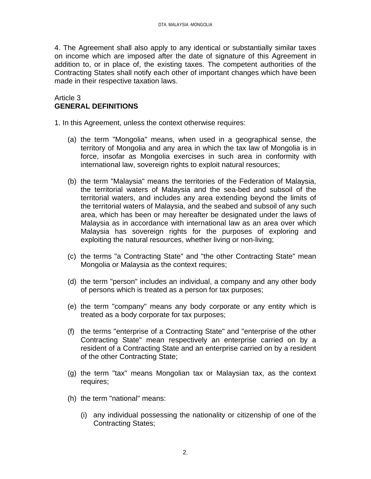4. The Agreement shall also apply to any identical or substantially similar taxes on income which are imposed after the date of signature of this Agreement in addition to, or in place of, the existing taxes. The competent authorities of the Contracting States shall notify each other of important changes which have been made in their respective taxation laws.

## Article 3 **GENERAL DEFINITIONS**

1. In this Agreement, unless the context otherwise requires:

- (a) the term "Mongolia" means, when used in a geographical sense, the territory of Mongolia and any area in which the tax law of Mongolia is in force, insofar as Mongolia exercises in such area in conformity with international law, sovereign rights to exploit natural resources;
- (b) the term "Malaysia" means the territories of the Federation of Malaysia, the territorial waters of Malaysia and the sea-bed and subsoil of the territorial waters, and includes any area extending beyond the limits of the territorial waters of Malaysia, and the seabed and subsoil of any such area, which has been or may hereafter be designated under the laws of Malaysia as in accordance with international law as an area over which Malaysia has sovereign rights for the purposes of exploring and exploiting the natural resources, whether living or non-living;
- (c) the terms "a Contracting State" and "the other Contracting State" mean Mongolia or Malaysia as the context requires;
- (d) the term "person" includes an individual, a company and any other body of persons which is treated as a person for tax purposes;
- (e) the term "company" means any body corporate or any entity which is treated as a body corporate for tax purposes;
- (f) the terms "enterprise of a Contracting State" and "enterprise of the other Contracting State" mean respectively an enterprise carried on by a resident of a Contracting State and an enterprise carried on by a resident of the other Contracting State;
- (g) the term "tax" means Mongolian tax or Malaysian tax, as the context requires;
- (h) the term "national" means:
	- (i) any individual possessing the nationality or citizenship of one of the Contracting States;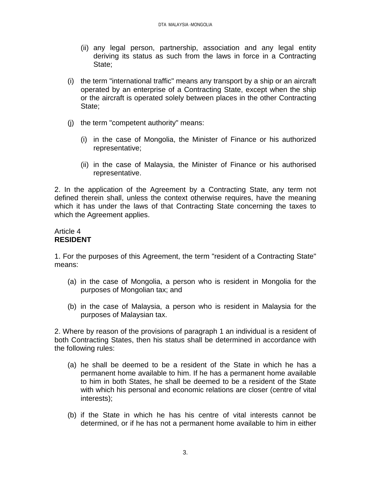- (ii) any legal person, partnership, association and any legal entity deriving its status as such from the laws in force in a Contracting State;
- (i) the term "international traffic" means any transport by a ship or an aircraft operated by an enterprise of a Contracting State, except when the ship or the aircraft is operated solely between places in the other Contracting State;
- (j) the term "competent authority" means:
	- (i) in the case of Mongolia, the Minister of Finance or his authorized representative;
	- (ii) in the case of Malaysia, the Minister of Finance or his authorised representative.

2. In the application of the Agreement by a Contracting State, any term not defined therein shall, unless the context otherwise requires, have the meaning which it has under the laws of that Contracting State concerning the taxes to which the Agreement applies.

# Article 4 **RESIDENT**

1. For the purposes of this Agreement, the term "resident of a Contracting State" means:

- (a) in the case of Mongolia, a person who is resident in Mongolia for the purposes of Mongolian tax; and
- (b) in the case of Malaysia, a person who is resident in Malaysia for the purposes of Malaysian tax.

2. Where by reason of the provisions of paragraph 1 an individual is a resident of both Contracting States, then his status shall be determined in accordance with the following rules:

- (a) he shall be deemed to be a resident of the State in which he has a permanent home available to him. If he has a permanent home available to him in both States, he shall be deemed to be a resident of the State with which his personal and economic relations are closer (centre of vital interests);
- (b) if the State in which he has his centre of vital interests cannot be determined, or if he has not a permanent home available to him in either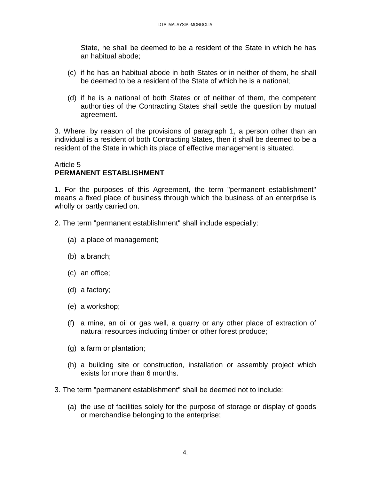State, he shall be deemed to be a resident of the State in which he has an habitual abode;

- (c) if he has an habitual abode in both States or in neither of them, he shall be deemed to be a resident of the State of which he is a national;
- (d) if he is a national of both States or of neither of them, the competent authorities of the Contracting States shall settle the question by mutual agreement.

3. Where, by reason of the provisions of paragraph 1, a person other than an individual is a resident of both Contracting States, then it shall be deemed to be a resident of the State in which its place of effective management is situated.

#### Article 5 **PERMANENT ESTABLISHMENT**

1. For the purposes of this Agreement, the term "permanent establishment" means a fixed place of business through which the business of an enterprise is wholly or partly carried on.

2. The term "permanent establishment" shall include especially:

- (a) a place of management;
- (b) a branch;
- (c) an office;
- (d) a factory;
- (e) a workshop;
- (f) a mine, an oil or gas well, a quarry or any other place of extraction of natural resources including timber or other forest produce;
- (g) a farm or plantation;
- (h) a building site or construction, installation or assembly project which exists for more than 6 months.
- 3. The term "permanent establishment" shall be deemed not to include:
	- (a) the use of facilities solely for the purpose of storage or display of goods or merchandise belonging to the enterprise;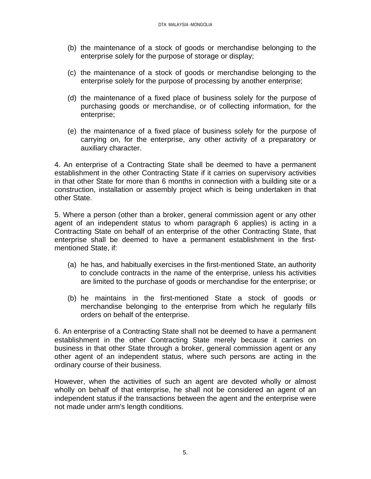- (b) the maintenance of a stock of goods or merchandise belonging to the enterprise solely for the purpose of storage or display;
- (c) the maintenance of a stock of goods or merchandise belonging to the enterprise solely for the purpose of processing by another enterprise;
- (d) the maintenance of a fixed place of business solely for the purpose of purchasing goods or merchandise, or of collecting information, for the enterprise;
- (e) the maintenance of a fixed place of business solely for the purpose of carrying on, for the enterprise, any other activity of a preparatory or auxiliary character.

4. An enterprise of a Contracting State shall be deemed to have a permanent establishment in the other Contracting State if it carries on supervisory activities in that other State for more than 6 months in connection with a building site or a construction, installation or assembly project which is being undertaken in that other State.

5. Where a person (other than a broker, general commission agent or any other agent of an independent status to whom paragraph 6 applies) is acting in a Contracting State on behalf of an enterprise of the other Contracting State, that enterprise shall be deemed to have a permanent establishment in the firstmentioned State, if:

- (a) he has, and habitually exercises in the first-mentioned State, an authority to conclude contracts in the name of the enterprise, unless his activities are limited to the purchase of goods or merchandise for the enterprise; or
- (b) he maintains in the first-mentioned State a stock of goods or merchandise belonging to the enterprise from which he regularly fills orders on behalf of the enterprise.

6. An enterprise of a Contracting State shall not be deemed to have a permanent establishment in the other Contracting State merely because it carries on business in that other State through a broker, general commission agent or any other agent of an independent status, where such persons are acting in the ordinary course of their business.

However, when the activities of such an agent are devoted wholly or almost wholly on behalf of that enterprise, he shall not be considered an agent of an independent status if the transactions between the agent and the enterprise were not made under arm's length conditions.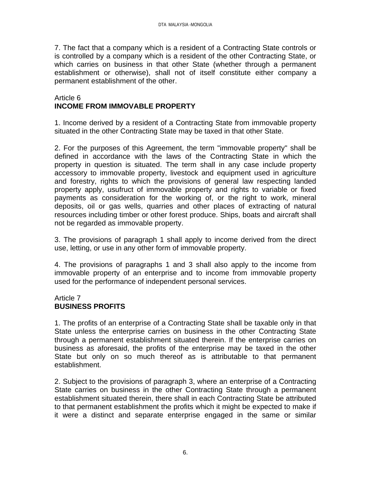7. The fact that a company which is a resident of a Contracting State controls or is controlled by a company which is a resident of the other Contracting State, or which carries on business in that other State (whether through a permanent establishment or otherwise), shall not of itself constitute either company a permanent establishment of the other.

#### Article 6 **INCOME FROM IMMOVABLE PROPERTY**

1. Income derived by a resident of a Contracting State from immovable property situated in the other Contracting State may be taxed in that other State.

2. For the purposes of this Agreement, the term "immovable property" shall be defined in accordance with the laws of the Contracting State in which the property in question is situated. The term shall in any case include property accessory to immovable property, livestock and equipment used in agriculture and forestry, rights to which the provisions of general law respecting landed property apply, usufruct of immovable property and rights to variable or fixed payments as consideration for the working of, or the right to work, mineral deposits, oil or gas wells, quarries and other places of extracting of natural resources including timber or other forest produce. Ships, boats and aircraft shall not be regarded as immovable property.

3. The provisions of paragraph 1 shall apply to income derived from the direct use, letting, or use in any other form of immovable property.

4. The provisions of paragraphs 1 and 3 shall also apply to the income from immovable property of an enterprise and to income from immovable property used for the performance of independent personal services.

## Article 7 **BUSINESS PROFITS**

1. The profits of an enterprise of a Contracting State shall be taxable only in that State unless the enterprise carries on business in the other Contracting State through a permanent establishment situated therein. If the enterprise carries on business as aforesaid, the profits of the enterprise may be taxed in the other State but only on so much thereof as is attributable to that permanent establishment.

2. Subject to the provisions of paragraph 3, where an enterprise of a Contracting State carries on business in the other Contracting State through a permanent establishment situated therein, there shall in each Contracting State be attributed to that permanent establishment the profits which it might be expected to make if it were a distinct and separate enterprise engaged in the same or similar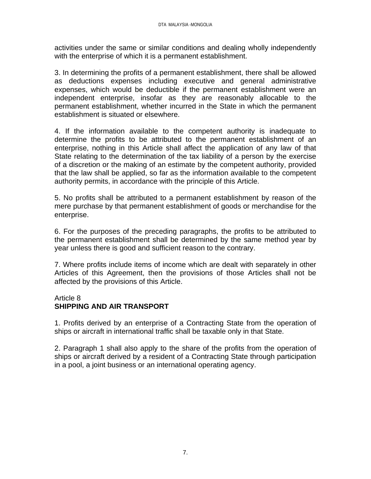activities under the same or similar conditions and dealing wholly independently with the enterprise of which it is a permanent establishment.

3. In determining the profits of a permanent establishment, there shall be allowed as deductions expenses including executive and general administrative expenses, which would be deductible if the permanent establishment were an independent enterprise, insofar as they are reasonably allocable to the permanent establishment, whether incurred in the State in which the permanent establishment is situated or elsewhere.

4. If the information available to the competent authority is inadequate to determine the profits to be attributed to the permanent establishment of an enterprise, nothing in this Article shall affect the application of any law of that State relating to the determination of the tax liability of a person by the exercise of a discretion or the making of an estimate by the competent authority, provided that the law shall be applied, so far as the information available to the competent authority permits, in accordance with the principle of this Article.

5. No profits shall be attributed to a permanent establishment by reason of the mere purchase by that permanent establishment of goods or merchandise for the enterprise.

6. For the purposes of the preceding paragraphs, the profits to be attributed to the permanent establishment shall be determined by the same method year by year unless there is good and sufficient reason to the contrary.

7. Where profits include items of income which are dealt with separately in other Articles of this Agreement, then the provisions of those Articles shall not be affected by the provisions of this Article.

# Article 8

# **SHIPPING AND AIR TRANSPORT**

1. Profits derived by an enterprise of a Contracting State from the operation of ships or aircraft in international traffic shall be taxable only in that State.

2. Paragraph 1 shall also apply to the share of the profits from the operation of ships or aircraft derived by a resident of a Contracting State through participation in a pool, a joint business or an international operating agency.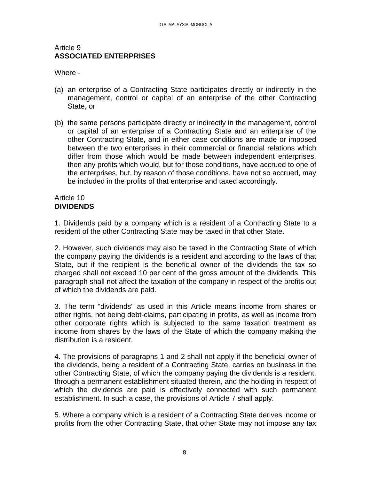#### Article 9 **ASSOCIATED ENTERPRISES**

Where -

- (a) an enterprise of a Contracting State participates directly or indirectly in the management, control or capital of an enterprise of the other Contracting State, or
- (b) the same persons participate directly or indirectly in the management, control or capital of an enterprise of a Contracting State and an enterprise of the other Contracting State, and in either case conditions are made or imposed between the two enterprises in their commercial or financial relations which differ from those which would be made between independent enterprises, then any profits which would, but for those conditions, have accrued to one of the enterprises, but, by reason of those conditions, have not so accrued, may be included in the profits of that enterprise and taxed accordingly.

#### Article 10 **DIVIDENDS**

1. Dividends paid by a company which is a resident of a Contracting State to a resident of the other Contracting State may be taxed in that other State.

2. However, such dividends may also be taxed in the Contracting State of which the company paying the dividends is a resident and according to the laws of that State, but if the recipient is the beneficial owner of the dividends the tax so charged shall not exceed 10 per cent of the gross amount of the dividends. This paragraph shall not affect the taxation of the company in respect of the profits out of which the dividends are paid.

3. The term "dividends" as used in this Article means income from shares or other rights, not being debt-claims, participating in profits, as well as income from other corporate rights which is subjected to the same taxation treatment as income from shares by the laws of the State of which the company making the distribution is a resident.

4. The provisions of paragraphs 1 and 2 shall not apply if the beneficial owner of the dividends, being a resident of a Contracting State, carries on business in the other Contracting State, of which the company paying the dividends is a resident, through a permanent establishment situated therein, and the holding in respect of which the dividends are paid is effectively connected with such permanent establishment. In such a case, the provisions of Article 7 shall apply.

5. Where a company which is a resident of a Contracting State derives income or profits from the other Contracting State, that other State may not impose any tax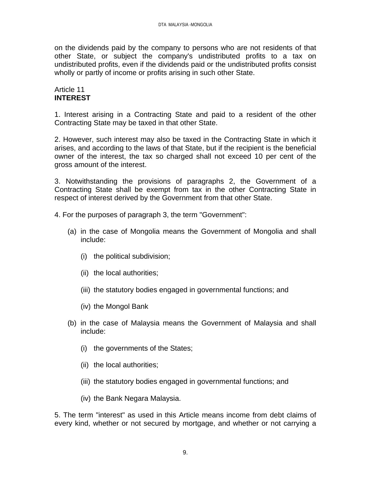on the dividends paid by the company to persons who are not residents of that other State, or subject the company's undistributed profits to a tax on undistributed profits, even if the dividends paid or the undistributed profits consist wholly or partly of income or profits arising in such other State.

## Article 11 **INTEREST**

1. Interest arising in a Contracting State and paid to a resident of the other Contracting State may be taxed in that other State.

2. However, such interest may also be taxed in the Contracting State in which it arises, and according to the laws of that State, but if the recipient is the beneficial owner of the interest, the tax so charged shall not exceed 10 per cent of the gross amount of the interest.

3. Notwithstanding the provisions of paragraphs 2, the Government of a Contracting State shall be exempt from tax in the other Contracting State in respect of interest derived by the Government from that other State.

4. For the purposes of paragraph 3, the term "Government":

- (a) in the case of Mongolia means the Government of Mongolia and shall include:
	- (i) the political subdivision;
	- (ii) the local authorities;
	- (iii) the statutory bodies engaged in governmental functions; and
	- (iv) the Mongol Bank
- (b) in the case of Malaysia means the Government of Malaysia and shall include:
	- (i) the governments of the States;
	- (ii) the local authorities;
	- (iii) the statutory bodies engaged in governmental functions; and
	- (iv) the Bank Negara Malaysia.

5. The term "interest" as used in this Article means income from debt claims of every kind, whether or not secured by mortgage, and whether or not carrying a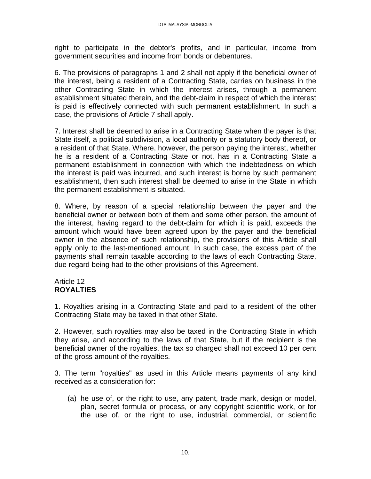right to participate in the debtor's profits, and in particular, income from government securities and income from bonds or debentures.

6. The provisions of paragraphs 1 and 2 shall not apply if the beneficial owner of the interest, being a resident of a Contracting State, carries on business in the other Contracting State in which the interest arises, through a permanent establishment situated therein, and the debt-claim in respect of which the interest is paid is effectively connected with such permanent establishment. In such a case, the provisions of Article 7 shall apply.

7. Interest shall be deemed to arise in a Contracting State when the payer is that State itself, a political subdivision, a local authority or a statutory body thereof, or a resident of that State. Where, however, the person paying the interest, whether he is a resident of a Contracting State or not, has in a Contracting State a permanent establishment in connection with which the indebtedness on which the interest is paid was incurred, and such interest is borne by such permanent establishment, then such interest shall be deemed to arise in the State in which the permanent establishment is situated.

8. Where, by reason of a special relationship between the payer and the beneficial owner or between both of them and some other person, the amount of the interest, having regard to the debt-claim for which it is paid, exceeds the amount which would have been agreed upon by the payer and the beneficial owner in the absence of such relationship, the provisions of this Article shall apply only to the last-mentioned amount. In such case, the excess part of the payments shall remain taxable according to the laws of each Contracting State, due regard being had to the other provisions of this Agreement.

## Article 12 **ROYALTIES**

1. Royalties arising in a Contracting State and paid to a resident of the other Contracting State may be taxed in that other State.

2. However, such royalties may also be taxed in the Contracting State in which they arise, and according to the laws of that State, but if the recipient is the beneficial owner of the royalties, the tax so charged shall not exceed 10 per cent of the gross amount of the royalties.

3. The term "royalties" as used in this Article means payments of any kind received as a consideration for:

(a) he use of, or the right to use, any patent, trade mark, design or model, plan, secret formula or process, or any copyright scientific work, or for the use of, or the right to use, industrial, commercial, or scientific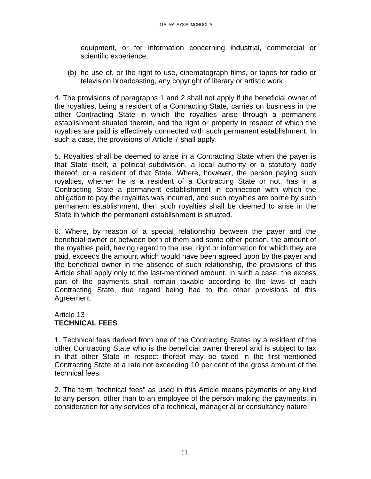equipment, or for information concerning industrial, commercial or scientific experience;

(b) he use of, or the right to use, cinematograph films, or tapes for radio or television broadcasting, any copyright of literary or artistic work.

4. The provisions of paragraphs 1 and 2 shall not apply if the beneficial owner of the royalties, being a resident of a Contracting State, carries on business in the other Contracting State in which the royalties arise through a permanent establishment situated therein, and the right or property in respect of which the royalties are paid is effectively connected with such permanent establishment. In such a case, the provisions of Article 7 shall apply.

5. Royalties shall be deemed to arise in a Contracting State when the payer is that State itself, a political subdivision, a local authority or a statutory body thereof, or a resident of that State. Where, however, the person paying such royalties, whether he is a resident of a Contracting State or not, has in a Contracting State a permanent establishment in connection with which the obligation to pay the royalties was incurred, and such royalties are borne by such permanent establishment, then such royalties shall be deemed to arise in the State in which the permanent establishment is situated.

6. Where, by reason of a special relationship between the payer and the beneficial owner or between both of them and some other person, the amount of the royalties paid, having regard to the use, right or information for which they are paid, exceeds the amount which would have been agreed upon by the payer and the beneficial owner in the absence of such relationship, the provisions of this Article shall apply only to the last-mentioned amount. In such a case, the excess part of the payments shall remain taxable according to the laws of each Contracting State, due regard being had to the other provisions of this Agreement.

## Article 13 **TECHNICAL FEES**

1. Technical fees derived from one of the Contracting States by a resident of the other Contracting State who is the beneficial owner thereof and is subject to tax in that other State in respect thereof may be taxed in the first-mentioned Contracting State at a rate not exceeding 10 per cent of the gross amount of the technical fees.

2. The term "technical fees" as used in this Article means payments of any kind to any person, other than to an employee of the person making the payments, in consideration for any services of a technical, managerial or consultancy nature.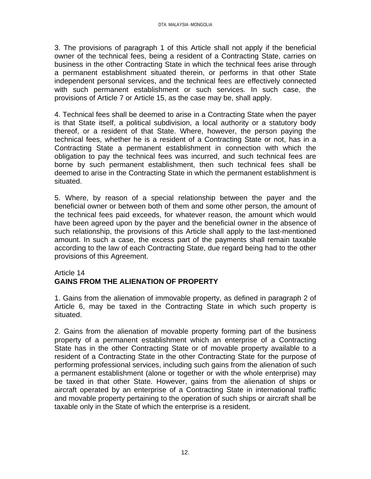3. The provisions of paragraph 1 of this Article shall not apply if the beneficial owner of the technical fees, being a resident of a Contracting State, carries on business in the other Contracting State in which the technical fees arise through a permanent establishment situated therein, or performs in that other State independent personal services, and the technical fees are effectively connected with such permanent establishment or such services. In such case, the provisions of Article 7 or Article 15, as the case may be, shall apply.

4. Technical fees shall be deemed to arise in a Contracting State when the payer is that State itself, a political subdivision, a local authority or a statutory body thereof, or a resident of that State. Where, however, the person paying the technical fees, whether he is a resident of a Contracting State or not, has in a Contracting State a permanent establishment in connection with which the obligation to pay the technical fees was incurred, and such technical fees are borne by such permanent establishment, then such technical fees shall be deemed to arise in the Contracting State in which the permanent establishment is situated.

5. Where, by reason of a special relationship between the payer and the beneficial owner or between both of them and some other person, the amount of the technical fees paid exceeds, for whatever reason, the amount which would have been agreed upon by the payer and the beneficial owner in the absence of such relationship, the provisions of this Article shall apply to the last-mentioned amount. In such a case, the excess part of the payments shall remain taxable according to the law of each Contracting State, due regard being had to the other provisions of this Agreement.

## Article 14 **GAINS FROM THE ALIENATION OF PROPERTY**

1. Gains from the alienation of immovable property, as defined in paragraph 2 of Article 6, may be taxed in the Contracting State in which such property is situated.

2. Gains from the alienation of movable property forming part of the business property of a permanent establishment which an enterprise of a Contracting State has in the other Contracting State or of movable property available to a resident of a Contracting State in the other Contracting State for the purpose of performing professional services, including such gains from the alienation of such a permanent establishment (alone or together or with the whole enterprise) may be taxed in that other State. However, gains from the alienation of ships or aircraft operated by an enterprise of a Contracting State in international traffic and movable property pertaining to the operation of such ships or aircraft shall be taxable only in the State of which the enterprise is a resident.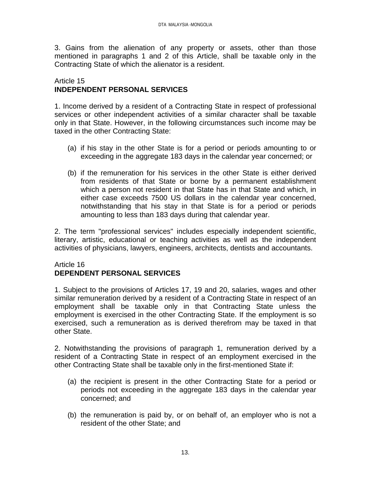3. Gains from the alienation of any property or assets, other than those mentioned in paragraphs 1 and 2 of this Article, shall be taxable only in the Contracting State of which the alienator is a resident.

## Article 15 **INDEPENDENT PERSONAL SERVICES**

1. Income derived by a resident of a Contracting State in respect of professional services or other independent activities of a similar character shall be taxable only in that State. However, in the following circumstances such income may be taxed in the other Contracting State:

- (a) if his stay in the other State is for a period or periods amounting to or exceeding in the aggregate 183 days in the calendar year concerned; or
- (b) if the remuneration for his services in the other State is either derived from residents of that State or borne by a permanent establishment which a person not resident in that State has in that State and which, in either case exceeds 7500 US dollars in the calendar year concerned, notwithstanding that his stay in that State is for a period or periods amounting to less than 183 days during that calendar year.

2. The term "professional services" includes especially independent scientific, literary, artistic, educational or teaching activities as well as the independent activities of physicians, lawyers, engineers, architects, dentists and accountants.

## Article 16 **DEPENDENT PERSONAL SERVICES**

1. Subject to the provisions of Articles 17, 19 and 20, salaries, wages and other similar remuneration derived by a resident of a Contracting State in respect of an employment shall be taxable only in that Contracting State unless the employment is exercised in the other Contracting State. If the employment is so exercised, such a remuneration as is derived therefrom may be taxed in that other State.

2. Notwithstanding the provisions of paragraph 1, remuneration derived by a resident of a Contracting State in respect of an employment exercised in the other Contracting State shall be taxable only in the first-mentioned State if:

- (a) the recipient is present in the other Contracting State for a period or periods not exceeding in the aggregate 183 days in the calendar year concerned; and
- (b) the remuneration is paid by, or on behalf of, an employer who is not a resident of the other State; and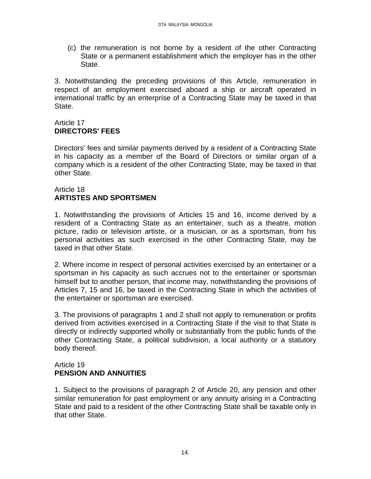(c) the remuneration is not borne by a resident of the other Contracting State or a permanent establishment which the employer has in the other State.

3. Notwithstanding the preceding provisions of this Article, remuneration in respect of an employment exercised aboard a ship or aircraft operated in international traffic by an enterprise of a Contracting State may be taxed in that State.

# Article 17 **DIRECTORS' FEES**

Directors' fees and similar payments derived by a resident of a Contracting State in his capacity as a member of the Board of Directors or similar organ of a company which is a resident of the other Contracting State, may be taxed in that other State.

## Article 18 **ARTISTES AND SPORTSMEN**

1. Notwithstanding the provisions of Articles 15 and 16, income derived by a resident of a Contracting State as an entertainer, such as a theatre, motion picture, radio or television artiste, or a musician, or as a sportsman, from his personal activities as such exercised in the other Contracting State, may be taxed in that other State.

2. Where income in respect of personal activities exercised by an entertainer or a sportsman in his capacity as such accrues not to the entertainer or sportsman himself but to another person, that income may, notwithstanding the provisions of Articles 7, 15 and 16, be taxed in the Contracting State in which the activities of the entertainer or sportsman are exercised.

3. The provisions of paragraphs 1 and 2 shall not apply to remuneration or profits derived from activities exercised in a Contracting State if the visit to that State is directly or indirectly supported wholly or substantially from the public funds of the other Contracting State, a political subdivision, a local authority or a statutory body thereof.

## Article 19 **PENSION AND ANNUITIES**

1. Subject to the provisions of paragraph 2 of Article 20, any pension and other similar remuneration for past employment or any annuity arising in a Contracting State and paid to a resident of the other Contracting State shall be taxable only in that other State.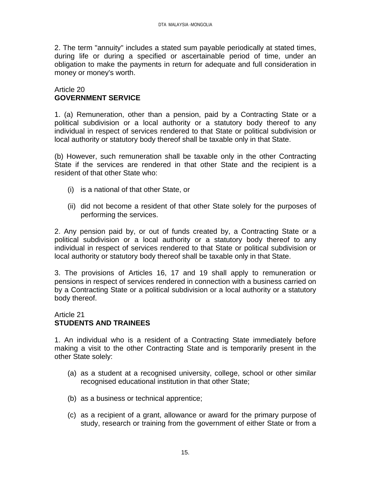2. The term "annuity" includes a stated sum payable periodically at stated times, during life or during a specified or ascertainable period of time, under an obligation to make the payments in return for adequate and full consideration in money or money's worth.

#### Article 20 **GOVERNMENT SERVICE**

1. (a) Remuneration, other than a pension, paid by a Contracting State or a political subdivision or a local authority or a statutory body thereof to any individual in respect of services rendered to that State or political subdivision or local authority or statutory body thereof shall be taxable only in that State.

(b) However, such remuneration shall be taxable only in the other Contracting State if the services are rendered in that other State and the recipient is a resident of that other State who:

- (i) is a national of that other State, or
- (ii) did not become a resident of that other State solely for the purposes of performing the services.

2. Any pension paid by, or out of funds created by, a Contracting State or a political subdivision or a local authority or a statutory body thereof to any individual in respect of services rendered to that State or political subdivision or local authority or statutory body thereof shall be taxable only in that State.

3. The provisions of Articles 16, 17 and 19 shall apply to remuneration or pensions in respect of services rendered in connection with a business carried on by a Contracting State or a political subdivision or a local authority or a statutory body thereof.

#### Article 21 **STUDENTS AND TRAINEES**

1. An individual who is a resident of a Contracting State immediately before making a visit to the other Contracting State and is temporarily present in the other State solely:

- (a) as a student at a recognised university, college, school or other similar recognised educational institution in that other State;
- (b) as a business or technical apprentice;
- (c) as a recipient of a grant, allowance or award for the primary purpose of study, research or training from the government of either State or from a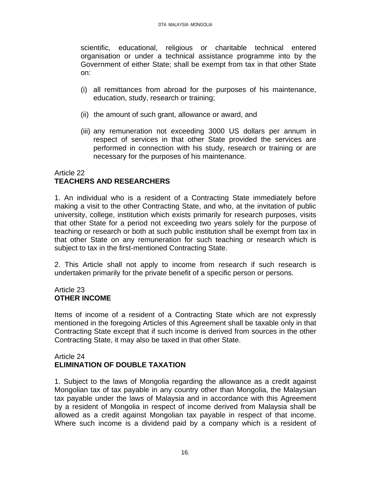scientific, educational, religious or charitable technical entered organisation or under a technical assistance programme into by the Government of either State; shall be exempt from tax in that other State on:

- (i) all remittances from abroad for the purposes of his maintenance, education, study, research or training;
- (ii) the amount of such grant, allowance or award, and
- (iii) any remuneration not exceeding 3000 US dollars per annum in respect of services in that other State provided the services are performed in connection with his study, research or training or are necessary for the purposes of his maintenance.

#### Article 22 **TEACHERS AND RESEARCHERS**

1. An individual who is a resident of a Contracting State immediately before making a visit to the other Contracting State, and who, at the invitation of public university, college, institution which exists primarily for research purposes, visits that other State for a period not exceeding two years solely for the purpose of teaching or research or both at such public institution shall be exempt from tax in that other State on any remuneration for such teaching or research which is subject to tax in the first-mentioned Contracting State.

2. This Article shall not apply to income from research if such research is undertaken primarily for the private benefit of a specific person or persons.

# Article 23 **OTHER INCOME**

Items of income of a resident of a Contracting State which are not expressly mentioned in the foregoing Articles of this Agreement shall be taxable only in that Contracting State except that if such income is derived from sources in the other Contracting State, it may also be taxed in that other State.

#### Article 24 **ELIMINATION OF DOUBLE TAXATION**

1. Subject to the laws of Mongolia regarding the allowance as a credit against Mongolian tax of tax payable in any country other than Mongolia, the Malaysian tax payable under the laws of Malaysia and in accordance with this Agreement by a resident of Mongolia in respect of income derived from Malaysia shall be allowed as a credit against Mongolian tax payable in respect of that income. Where such income is a dividend paid by a company which is a resident of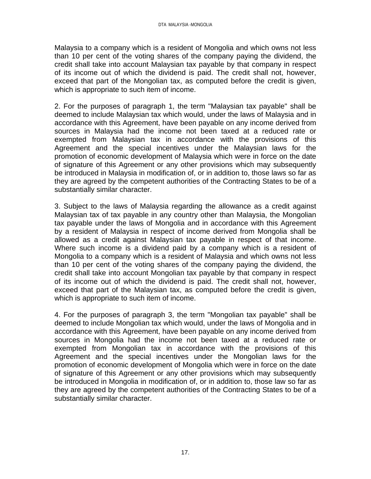Malaysia to a company which is a resident of Mongolia and which owns not less than 10 per cent of the voting shares of the company paying the dividend, the credit shall take into account Malaysian tax payable by that company in respect of its income out of which the dividend is paid. The credit shall not, however, exceed that part of the Mongolian tax, as computed before the credit is given, which is appropriate to such item of income.

2. For the purposes of paragraph 1, the term "Malaysian tax payable" shall be deemed to include Malaysian tax which would, under the laws of Malaysia and in accordance with this Agreement, have been payable on any income derived from sources in Malaysia had the income not been taxed at a reduced rate or exempted from Malaysian tax in accordance with the provisions of this Agreement and the special incentives under the Malaysian laws for the promotion of economic development of Malaysia which were in force on the date of signature of this Agreement or any other provisions which may subsequently be introduced in Malaysia in modification of, or in addition to, those laws so far as they are agreed by the competent authorities of the Contracting States to be of a substantially similar character.

3. Subject to the laws of Malaysia regarding the allowance as a credit against Malaysian tax of tax payable in any country other than Malaysia, the Mongolian tax payable under the laws of Mongolia and in accordance with this Agreement by a resident of Malaysia in respect of income derived from Mongolia shall be allowed as a credit against Malaysian tax payable in respect of that income. Where such income is a dividend paid by a company which is a resident of Mongolia to a company which is a resident of Malaysia and which owns not less than 10 per cent of the voting shares of the company paying the dividend, the credit shall take into account Mongolian tax payable by that company in respect of its income out of which the dividend is paid. The credit shall not, however, exceed that part of the Malaysian tax, as computed before the credit is given, which is appropriate to such item of income.

4. For the purposes of paragraph 3, the term "Mongolian tax payable" shall be deemed to include Mongolian tax which would, under the laws of Mongolia and in accordance with this Agreement, have been payable on any income derived from sources in Mongolia had the income not been taxed at a reduced rate or exempted from Mongolian tax in accordance with the provisions of this Agreement and the special incentives under the Mongolian laws for the promotion of economic development of Mongolia which were in force on the date of signature of this Agreement or any other provisions which may subsequently be introduced in Mongolia in modification of, or in addition to, those law so far as they are agreed by the competent authorities of the Contracting States to be of a substantially similar character.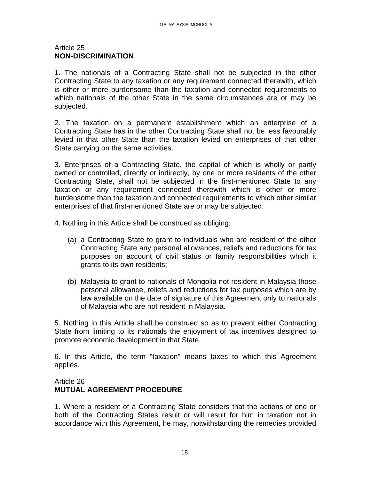#### Article 25 **NON-DISCRIMINATION**

1. The nationals of a Contracting State shall not be subjected in the other Contracting State to any taxation or any requirement connected therewith, which is other or more burdensome than the taxation and connected requirements to which nationals of the other State in the same circumstances are or may be subjected.

2. The taxation on a permanent establishment which an enterprise of a Contracting State has in the other Contracting State shall not be less favourably levied in that other State than the taxation levied on enterprises of that other State carrying on the same activities.

3. Enterprises of a Contracting State, the capital of which is wholly or partly owned or controlled, directly or indirectly, by one or more residents of the other Contracting State, shall not be subjected in the first-mentioned State to any taxation or any requirement connected therewith which is other or more burdensome than the taxation and connected requirements to which other similar enterprises of that first-mentioned State are or may be subjected.

4. Nothing in this Article shall be construed as obliging:

- (a) a Contracting State to grant to individuals who are resident of the other Contracting State any personal allowances, reliefs and reductions for tax purposes on account of civil status or family responsibilities which it grants to its own residents;
- (b) Malaysia to grant to nationals of Mongolia not resident in Malaysia those personal allowance, reliefs and reductions for tax purposes which are by law available on the date of signature of this Agreement only to nationals of Malaysia who are not resident in Malaysia.

5. Nothing in this Article shall be construed so as to prevent either Contracting State from limiting to its nationals the enjoyment of tax incentives designed to promote economic development in that State.

6. In this Article, the term "taxation" means taxes to which this Agreement applies.

## Article 26 **MUTUAL AGREEMENT PROCEDURE**

1. Where a resident of a Contracting State considers that the actions of one or both of the Contracting States result or will result for him in taxation not in accordance with this Agreement, he may, notwithstanding the remedies provided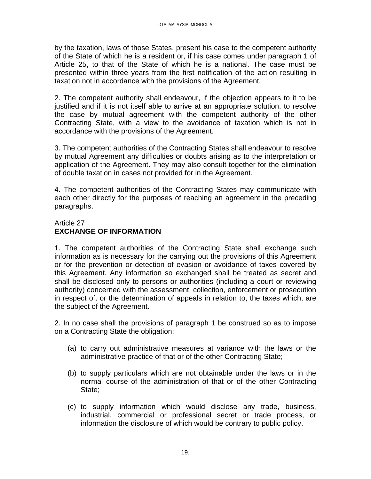by the taxation, laws of those States, present his case to the competent authority of the State of which he is a resident or, if his case comes under paragraph 1 of Article 25, to that of the State of which he is a national. The case must be presented within three years from the first notification of the action resulting in taxation not in accordance with the provisions of the Agreement.

2. The competent authority shall endeavour, if the objection appears to it to be justified and if it is not itself able to arrive at an appropriate solution, to resolve the case by mutual agreement with the competent authority of the other Contracting State, with a view to the avoidance of taxation which is not in accordance with the provisions of the Agreement.

3. The competent authorities of the Contracting States shall endeavour to resolve by mutual Agreement any difficulties or doubts arising as to the interpretation or application of the Agreement. They may also consult together for the elimination of double taxation in cases not provided for in the Agreement.

4. The competent authorities of the Contracting States may communicate with each other directly for the purposes of reaching an agreement in the preceding paragraphs.

## Article 27 **EXCHANGE OF INFORMATION**

1. The competent authorities of the Contracting State shall exchange such information as is necessary for the carrying out the provisions of this Agreement or for the prevention or detection of evasion or avoidance of taxes covered by this Agreement. Any information so exchanged shall be treated as secret and shall be disclosed only to persons or authorities (including a court or reviewing authority) concerned with the assessment, collection, enforcement or prosecution in respect of, or the determination of appeals in relation to, the taxes which, are the subject of the Agreement.

2. In no case shall the provisions of paragraph 1 be construed so as to impose on a Contracting State the obligation:

- (a) to carry out administrative measures at variance with the laws or the administrative practice of that or of the other Contracting State;
- (b) to supply particulars which are not obtainable under the laws or in the normal course of the administration of that or of the other Contracting State;
- (c) to supply information which would disclose any trade, business, industrial, commercial or professional secret or trade process, or information the disclosure of which would be contrary to public policy.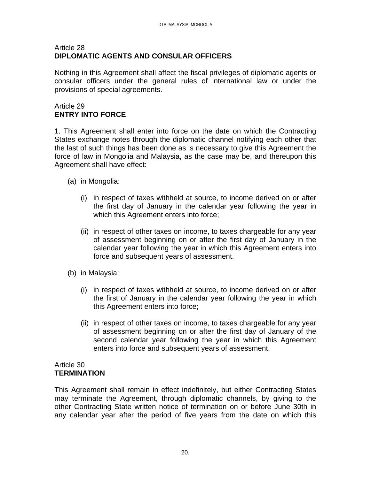## Article 28 **DIPLOMATIC AGENTS AND CONSULAR OFFICERS**

Nothing in this Agreement shall affect the fiscal privileges of diplomatic agents or consular officers under the general rules of international law or under the provisions of special agreements.

# Article 29 **ENTRY INTO FORCE**

1. This Agreement shall enter into force on the date on which the Contracting States exchange notes through the diplomatic channel notifying each other that the last of such things has been done as is necessary to give this Agreement the force of law in Mongolia and Malaysia, as the case may be, and thereupon this Agreement shall have effect:

- (a) in Mongolia:
	- (i) in respect of taxes withheld at source, to income derived on or after the first day of January in the calendar year following the year in which this Agreement enters into force;
	- (ii) in respect of other taxes on income, to taxes chargeable for any year of assessment beginning on or after the first day of January in the calendar year following the year in which this Agreement enters into force and subsequent years of assessment.
- (b) in Malaysia:
	- (i) in respect of taxes withheld at source, to income derived on or after the first of January in the calendar year following the year in which this Agreement enters into force;
	- (ii) in respect of other taxes on income, to taxes chargeable for any year of assessment beginning on or after the first day of January of the second calendar year following the year in which this Agreement enters into force and subsequent years of assessment.

#### Article 30 **TERMINATION**

This Agreement shall remain in effect indefinitely, but either Contracting States may terminate the Agreement, through diplomatic channels, by giving to the other Contracting State written notice of termination on or before June 30th in any calendar year after the period of five years from the date on which this